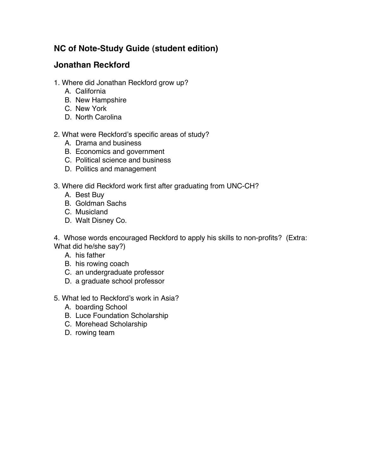## **NC of Note-Study Guide (student edition)**

## **Jonathan Reckford**

- 1. Where did Jonathan Reckford grow up?
	- A. California
	- B. New Hampshire
	- C. New York
	- D. North Carolina
- 2. What were Reckford's specific areas of study?
	- A. Drama and business
	- B. Economics and government
	- C. Political science and business
	- D. Politics and management
- 3. Where did Reckford work first after graduating from UNC-CH?
	- A. Best Buy
	- B. Goldman Sachs
	- C. Musicland
	- D. Walt Disney Co.

4. Whose words encouraged Reckford to apply his skills to non-profits? (Extra: What did he/she say?)

- A. his father
- B. his rowing coach
- C. an undergraduate professor
- D. a graduate school professor
- 5. What led to Reckford's work in Asia?
	- A. boarding School
	- B. Luce Foundation Scholarship
	- C. Morehead Scholarship
	- D. rowing team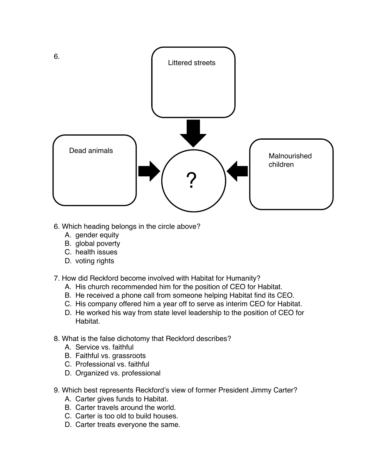

- 6. Which heading belongs in the circle above?
	- A. gender equity
	- B. global poverty
	- C. health issues
	- D. voting rights
- 7. How did Reckford become involved with Habitat for Humanity?
	- A. His church recommended him for the position of CEO for Habitat.
	- B. He received a phone call from someone helping Habitat find its CEO.
	- C. His company offered him a year off to serve as interim CEO for Habitat.
	- D. He worked his way from state level leadership to the position of CEO for **Habitat**
- 8. What is the false dichotomy that Reckford describes?
	- A. Service vs. faithful
	- B. Faithful vs. grassroots
	- C. Professional vs. faithful
	- D. Organized vs. professional
- 9. Which best represents Reckford's view of former President Jimmy Carter?
	- A. Carter gives funds to Habitat.
	- B. Carter travels around the world.
	- C. Carter is too old to build houses.
	- D. Carter treats everyone the same.